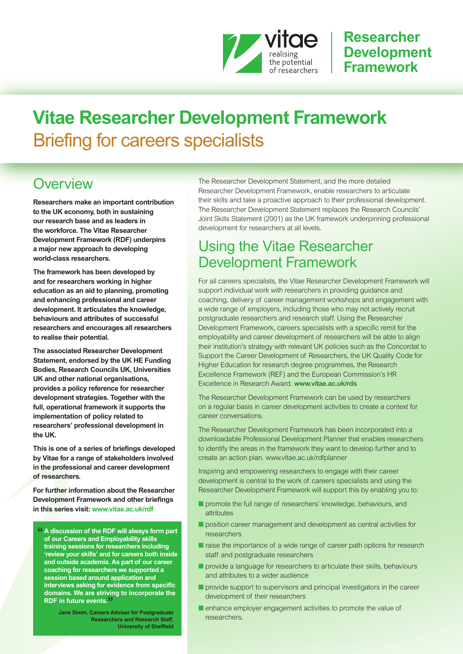

### **Researcher Development Framework**

# **Vitae Researcher Development Framework** Briefing for careers specialists

### **Overview**

**Researchers make an important contribution to the UK economy, both in sustaining our research base and as leaders in the workforce. The Vitae Researcher Development Framework (RDF) underpins a major new approach to developing world-class researchers.**

**The framework has been developed by and for researchers working in higher education as an aid to planning, promoting and enhancing professional and career development. It articulates the knowledge, behaviours and attributes of successful researchers and encourages all researchers to realise their potential.**

**The associated Researcher Development Statement, endorsed by the UK HE Funding Bodies, Research Councils UK, Universities UK and other national organisations, provides a policy reference for researcher development strategies. Together with the full, operational framework it supports the implementation of policy related to researchers' professional development in the UK.**

**This is one of a series of briefings developed by Vitae for a range of stakeholders involved in the professional and career development of researchers.**

**For further information about the Researcher Development Framework and other briefings in this series visit: [www.vitae.ac.uk/rdf](http://www.vitae.ac.uk/rdf)**

" **<sup>A</sup> discussion of the RDF will always form part of our Careers and Employability skills training sessions for researchers including 'review your skills' and for careers both inside and outside academia. As part of our career coaching for researchers we supported a session based around application and interviews asking for evidence from specific domains. We are striving to incorporate the RDF in future events.** "

**Jane Simm, Careers Adviser for Postgraduate Researchers and Research Staff, University of Sheffield**

The Researcher Development Statement, and the more detailed Researcher Development Framework, enable researchers to articulate their skills and take a proactive approach to their professional development. The Researcher Development Statement replaces the Research Councils' Joint Skills Statement (2001) as the UK framework underpinning professional development for researchers at all levels.

### Using the Vitae Researcher Development Framework

For all careers specialists, the Vitae Researcher Development Framework will support individual work with researchers in providing guidance and coaching, delivery of career management workshops and engagement with a wide range of employers, including those who may not actively recruit postgraduate researchers and research staff. Using the Researcher Development Framework, careers specialists with a specific remit for the employability and career development of researchers will be able to align their institution's strategy with relevant UK policies such as the Concordat to Support the Career Development of Researchers, the UK Quality Code for Higher Education for research degree programmes, the Research Excellence Framework (REF) and the European Commission's HR Excellence in Research Award. **[www.vitae.ac.uk/rds](http://www.vitae.ac.uk/rds)**

The Researcher Development Framework can be used by researchers on a regular basis in career development activities to create a context for career conversations.

The Researcher Development Framework has been incorporated into a downloadable Professional Development Planner that enables researchers to identify the areas in the framework they want to develop further and to create an action plan. [www.vitae.ac.uk/rdfplanner](http://www.vitae.ac.uk/rdfplanner)

Inspiring and empowering researchers to engage with their career development is central to the work of careers specialists and using the Researcher Development Framework will support this by enabling you to:

- **■** promote the full range of researchers' knowledge, behaviours, and attributes
- position career management and development as central activities for researchers
- raise the importance of a wide range of career path options for research staff and postgraduate researchers
- provide a language for researchers to articulate their skills, behaviours and attributes to a wider audience
- provide support to supervisors and principal investigators in the career development of their researchers
- enhance employer engagement activities to promote the value of researchers.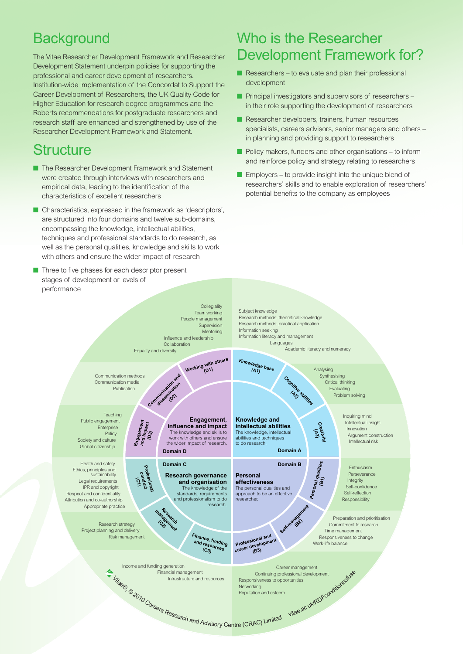# **Background**

The Vitae Researcher Development Framework and Researcher Development Statement underpin policies for supporting the professional and career development of researchers. Institution-wide implementation of the Concordat to Support the Career Development of Researchers, the UK Quality Code for Higher Education for research degree programmes and the Roberts recommendations for postgraduate researchers and research staff are enhanced and strengthened by use of the Researcher Development Framework and Statement.

# **Structure**

- **■** The Researcher Development Framework and Statement were created through interviews with researchers and empirical data, leading to the identification of the characteristics of excellent researchers
- Characteristics, expressed in the framework as 'descriptors', are structured into four domains and twelve sub-domains, encompassing the knowledge, intellectual abilities, techniques and professional standards to do research, as well as the personal qualities, knowledge and skills to work with others and ensure the wider impact of research
- Three to five phases for each descriptor present stages of development or levels of performance

## Who is the Researcher Development Framework for?

- Researchers to evaluate and plan their professional development
- Principal investigators and supervisors of researchers in their role supporting the development of researchers
- Researcher developers, trainers, human resources specialists, careers advisors, senior managers and others – in planning and providing support to researchers
- Policy makers, funders and other organisations to inform and reinforce policy and strategy relating to researchers
- Employers to provide insight into the unique blend of researchers' skills and to enable exploration of researchers' potential benefits to the company as employees

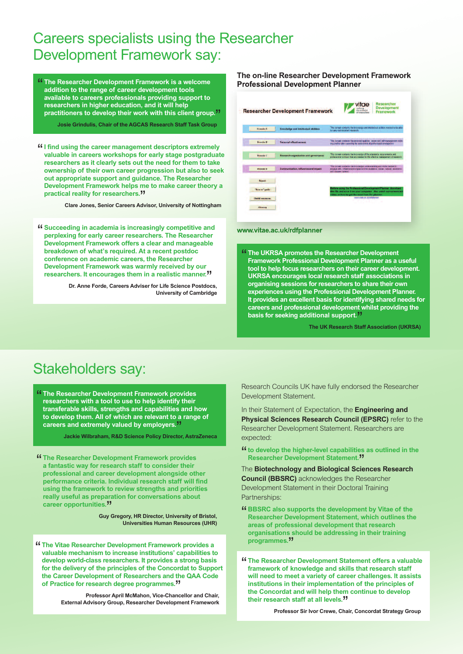### Careers specialists using the Researcher Development Framework say:

" **The Researcher Development Framework is <sup>a</sup> welcome addition to the range of career development tools available to careers professionals providing support to researchers in higher education, and it will help practitioners to develop their work with this client group.** "

**Josie Grindulis, Chair of the AGCAS Research Staff Task Group**

"**<sup>I</sup> find using the career management descriptors extremely valuable in careers workshops for early stage postgraduate researchers as it clearly sets out the need for them to take ownership of their own career progression but also to seek out appropriate support and guidance. The Researcher Development Framework helps me to make career theory a practical reality for researchers.** "

**Clare Jones, Senior Careers Advisor, University of Nottingham**

" **Succeeding in academia is increasingly competitive and perplexing for early career researchers. The Researcher Development Framework offers a clear and manageable breakdown of what's required. At a recent postdoc conference on academic careers, the Researcher Development Framework was warmly received by our researchers. It encourages them in a realistic manner.** "

**Dr. Anne Forde, Careers Adviser for Life Science Postdocs, University of Cambridge**

#### **The on-line Researcher Development Framework Professional Development Planner**

|                          | <b>Researcher Development Framework</b>     | <b>Researcher</b><br>vitae<br><b>Development</b><br><b>Framework</b>                                                                                                              |
|--------------------------|---------------------------------------------|-----------------------------------------------------------------------------------------------------------------------------------------------------------------------------------|
| <b>Domain A</b>          | <b>Knowledge and intellectual abilities</b> | This demain contains the knowledge and intellectual abilities needed to be able<br>to complete accordant research.                                                                |
| Dereche B                | <b>Personal effectiveness</b>               | This domain continue the personal qualities, cause and self-management skills.<br>mg.cod to take quescritip for and control of profectional development.                          |
| <b>Detective</b>         | Research organisation and governance        | This domain contains the knowledge of the standards, requirements and<br>professional conduct that are reached for the whechive management of research.                           |
| Deposits D               | Communication, influence and inpact         | This domain contains the knowledge, circleratoricing and stella meded to<br>engage with influence and impact on the academic, ascue, cultural, economic<br>and himselve continut. |
| <b>Report</b>            |                                             |                                                                                                                                                                                   |
| Ties to "guide           |                                             | Before using the Professional Quvalopment Planner, download<br>this file and save it on your computer. Also watch our screencast                                                  |
| <b>United receivings</b> |                                             | video on how to get the most from the planner.<br>soon state an us vriplanner.                                                                                                    |
| Glennary                 |                                             |                                                                                                                                                                                   |

#### **[www.vitae.ac.uk/rdfplanner](http://www.vitae.ac.uk/rdfplanner)**

" **The UKRSA promotes the Researcher Development Framework Professional Development Planner as a useful tool to help focus researchers on their career development. UKRSA encourages local research staff associations in organising sessions for researchers to share their own experiences using the Professional Development Planner. It provides an excellent basis for identifying shared needs for careers and professional development whilst providing the basis for seeking additional support.** "

**The UK Research Staff Association (UKRSA)**

### Stakeholders say:

" **The Researcher Development Framework provides researchers with a tool to use to help identify their transferable skills, strengths and capabilities and how to develop them. All of which are relevant to a range of careers and extremely valued by employers.** "

**Jackie Wilbraham, R&D Science Policy Director, AstraZeneca**

" **The Researcher Development Framework provides a fantastic way for research staff to consider their professional and career development alongside other performance criteria. Individual research staff will find using the framework to review strengths and priorities really useful as preparation for conversations about career opportunities.** "

**Guy Gregory, HR Director, University of Bristol, Universities Human Resources (UHR)**

" **The Vitae Researcher Development Framework provides <sup>a</sup> valuable mechanism to increase institutions' capabilities to develop world-class researchers. It provides a strong basis for the delivery of the principles of the Concordat to Support the Career Development of Researchers and the QAA Code of Practice for research degree programmes.** "

**Professor April McMahon, Vice-Chancellor and Chair, External Advisory Group, Researcher Development Framework**

Research Councils UK have fully endorsed the Researcher Development Statement.

In their Statement of Expectation, the **Engineering and Physical Sciences Research Council (EPSRC)** refer to the Researcher Development Statement. Researchers are expected:

- "**to develop the higher-level capabilities as outlined in the Researcher Development Statement.<sup>11</sup>**<br>(e **Riotechnology and Riological Science**
- The **Biotechnology and Biological Sciences Research Council (BBSRC)** acknowledges the Researcher Development Statement in their Doctoral Training Partnerships:
- " **BBSRC also supports the development by Vitae of the Researcher Development Statement, which outlines the areas of professional development that research organisations should be addressing in their training programmes.** "
- " **The Researcher Development Statement offers <sup>a</sup> valuable framework of knowledge and skills that research staff will need to meet a variety of career challenges. It assists institutions in their implementation of the principles of the Concordat and will help them continue to develop their research staff at all levels.** "

**Professor Sir Ivor Crewe, Chair, Concordat Strategy Group**